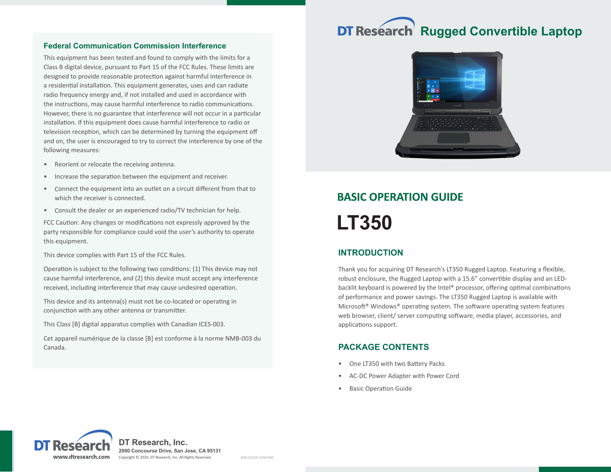#### **Federal Communication Commission Interference**

This equipment has been tested and found to comply with the limits for a Class B digital device, pursuant to Part 15 of the FCC Rules. These limits are designed to provide reasonable protection against harmful interference in a residential installation. This equipment generates, uses and can radiate radio frequency energy and, if not installed and used in accordance with the instructions, may cause harmful interference to radio communications. However, there is no guarantee that interference will not occur in a particular installation. If this equipment does cause harmful interference to radio or television reception, which can be determined by turning the equipment off and on, the user is encouraged to try to correct the interference by one of the following measures:

- Reorient or relocate the receiving antenna.
- Increase the separation between the equipment and receiver.
- Connect the equipment into an outlet on a circuit different from that to which the receiver is connected.
- Consult the dealer or an experienced radio/TV technician for help.

FCC Caution: Any changes or modifications not expressly approved by the party responsible for compliance could void the user's authority to operate this equipment.

This device complies with Part 15 of the FCC Rules.

Operation is subject to the following two conditions: (1) This device may not cause harmful interference, and (2) this device must accept any interference received, including interference that may cause undesired operation.

This device and its antenna(s) must not be co-located or operating in conjunction with any other antenna or transmitter.

This Class [B] digital apparatus complies with Canadian ICES-003.

Cet appareil numérique de la classe [B] est conforme à la norme NMB-003 du Canada.

# **DT Research Rugged Convertible Laptop**



## **BASIC OPERATION GUIDE LT350**

## **INTRODUCTION**

Thank you for acquiring DT Research's LT350 Rugged Laptop. Featuring a flexible, robust enclosure, the Rugged Laptop with a 15.6" convertible display and an LEDbacklit keyboard is powered by the Intel® processor, offering optimal combinations of performance and power savings. The LT350 Rugged Laptop is available with Microsoft® Windows® operating system. The software operating system features web browser, client/ server computing software, media player, accessories, and applications support.

## **PACKAGE CONTENTS**

- One LT350 with two Battery Packs
- AC-DC Power Adapter with Power Cord
- **Basic Operation Guide**



**DT Research, Inc. 2000 Concourse Drive, San Jose, CA 95131** Copyright © 2020, DT Research, Inc. All Rights Reserved. BOG122520 LT350 ENG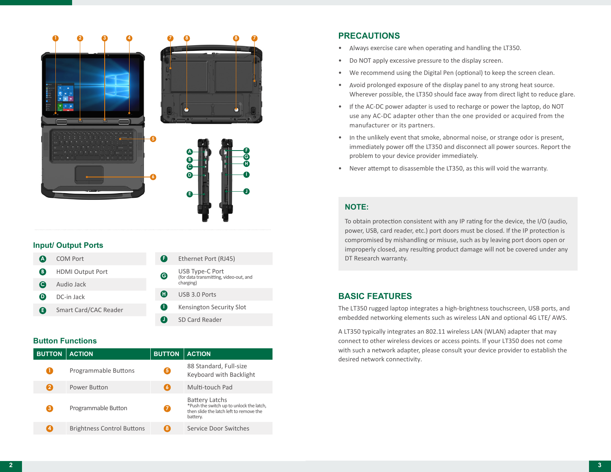

#### **Input/ Output Ports**

| (A) | <b>COM Port</b>         | Œ | Ethernet Port (RJ45)                                                   |
|-----|-------------------------|---|------------------------------------------------------------------------|
| B   | <b>HDMI Output Port</b> | Θ | USB Type-C Port<br>(for data transmitting, video-out, and<br>charging) |
| (C) | Audio Jack              |   |                                                                        |
| D)  | DC-in Jack              | Œ | USB 3.0 Ports                                                          |
| A   | Smart Card/CAC Reader   | Т | Kensington Security Slot                                               |
|     |                         |   | SD Card Reader                                                         |

#### **Button Functions**

| <b>BUTTON</b> | <b>ACTION</b>                     | <b>BUTTON</b> | <b>ACTION</b>                                                                                                            |
|---------------|-----------------------------------|---------------|--------------------------------------------------------------------------------------------------------------------------|
|               | Programmable Buttons              | 5)            | 88 Standard, Full-size<br>Keyboard with Backlight                                                                        |
| 2             | Power Button                      | 6             | Multi-touch Pad                                                                                                          |
| 3             | Programmable Button               |               | <b>Battery Latchs</b><br>*Push the switch up to unlock the latch,<br>then slide the latch left to remove the<br>battery. |
| 4             | <b>Brightness Control Buttons</b> | 8             | Service Door Switches                                                                                                    |

## **PRECAUTIONS**

- Always exercise care when operating and handling the LT350.
- Do NOT apply excessive pressure to the display screen.
- We recommend using the Digital Pen (optional) to keep the screen clean.
- Avoid prolonged exposure of the display panel to any strong heat source. Wherever possible, the LT350 should face away from direct light to reduce glare.
- If the AC-DC power adapter is used to recharge or power the laptop, do NOT use any AC-DC adapter other than the one provided or acquired from the manufacturer or its partners.
- In the unlikely event that smoke, abnormal noise, or strange odor is present, immediately power off the LT350 and disconnect all power sources. Report the problem to your device provider immediately.
- Never attempt to disassemble the LT350, as this will void the warranty.

## **NOTE:**

To obtain protection consistent with any IP rating for the device, the I/O (audio, power, USB, card reader, etc.) port doors must be closed. If the IP protection is compromised by mishandling or misuse, such as by leaving port doors open or improperly closed, any resulting product damage will not be covered under any DT Research warranty.

## **BASIC FEATURES**

The LT350 rugged laptop integrates a high-brightness touchscreen, USB ports, and embedded networking elements such as wireless LAN and optional 4G LTE/ AWS.

A LT350 typically integrates an 802.11 wireless LAN (WLAN) adapter that may connect to other wireless devices or access points. If your LT350 does not come with such a network adapter, please consult your device provider to establish the desired network connectivity.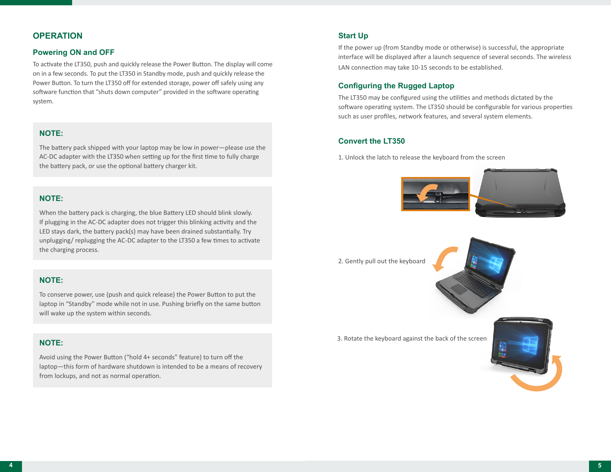## **OPERATION**

#### **Powering ON and OFF**

To activate the LT350, push and quickly release the Power Button. The display will come on in a few seconds. To put the LT350 in Standby mode, push and quickly release the Power Button. To turn the LT350 off for extended storage, power off safely using any software function that "shuts down computer" provided in the software operating system.

#### **NOTE:**

The battery pack shipped with your laptop may be low in power—please use the AC-DC adapter with the LT350 when setting up for the first time to fully charge the battery pack, or use the optional battery charger kit.

#### **NOTE:**

When the battery pack is charging, the blue Battery LED should blink slowly. If plugging in the AC-DC adapter does not trigger this blinking activity and the LED stays dark, the battery pack(s) may have been drained substantially. Try unplugging/ replugging the AC-DC adapter to the LT350 a few times to activate the charging process.

## **NOTE:**

To conserve power, use (push and quick release) the Power Button to put the laptop in "Standby" mode while not in use. Pushing briefly on the same button will wake up the system within seconds.

## **NOTE:**

Avoid using the Power Button ("hold 4+ seconds" feature) to turn off the laptop—this form of hardware shutdown is intended to be a means of recovery from lockups, and not as normal operation.

#### **Start Up**

If the power up (from Standby mode or otherwise) is successful, the appropriate interface will be displayed after a launch sequence of several seconds. The wireless LAN connection may take 10-15 seconds to be established.

## **Configuring the Rugged Laptop**

The LT350 may be configured using the utilities and methods dictated by the software operating system. The LT350 should be configurable for various properties such as user profiles, network features, and several system elements.

#### **Convert the LT350**

1. Unlock the latch to release the keyboard from the screen



2. Gently pull out the keyboard



3. Rotate the keyboard against the back of the screen